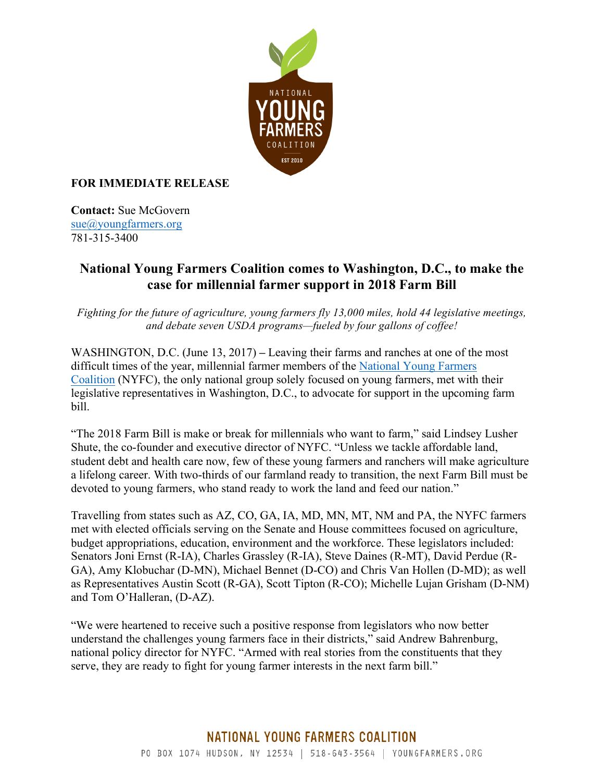

## **FOR IMMEDIATE RELEASE**

**Contact:** Sue McGovern sue@youngfarmers.org 781-315-3400

## **National Young Farmers Coalition comes to Washington, D.C., to make the case for millennial farmer support in 2018 Farm Bill**

*Fighting for the future of agriculture, young farmers fly 13,000 miles, hold 44 legislative meetings, and debate seven USDA programs—fueled by four gallons of coffee!*

WASHINGTON, D.C. (June 13, 2017) **–** Leaving their farms and ranches at one of the most difficult times of the year, millennial farmer members of the National Young Farmers Coalition (NYFC), the only national group solely focused on young farmers, met with their legislative representatives in Washington, D.C., to advocate for support in the upcoming farm bill.

"The 2018 Farm Bill is make or break for millennials who want to farm," said Lindsey Lusher Shute, the co-founder and executive director of NYFC. "Unless we tackle affordable land, student debt and health care now, few of these young farmers and ranchers will make agriculture a lifelong career. With two-thirds of our farmland ready to transition, the next Farm Bill must be devoted to young farmers, who stand ready to work the land and feed our nation."

Travelling from states such as AZ, CO, GA, IA, MD, MN, MT, NM and PA, the NYFC farmers met with elected officials serving on the Senate and House committees focused on agriculture, budget appropriations, education, environment and the workforce. These legislators included: Senators Joni Ernst (R-IA), Charles Grassley (R-IA), Steve Daines (R-MT), David Perdue (R-GA), Amy Klobuchar (D-MN), Michael Bennet (D-CO) and Chris Van Hollen (D-MD); as well as Representatives Austin Scott (R-GA), Scott Tipton (R-CO); Michelle Lujan Grisham (D-NM) and Tom O'Halleran, (D-AZ).

"We were heartened to receive such a positive response from legislators who now better understand the challenges young farmers face in their districts," said Andrew Bahrenburg, national policy director for NYFC. "Armed with real stories from the constituents that they serve, they are ready to fight for young farmer interests in the next farm bill."